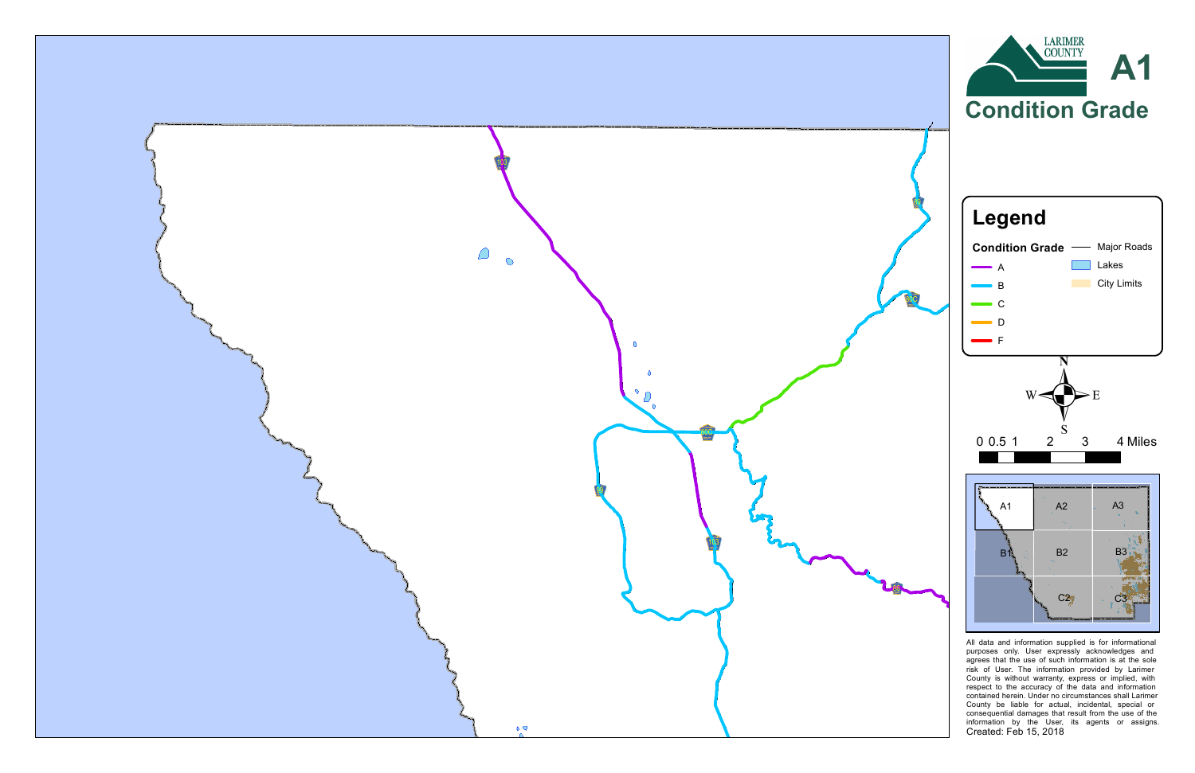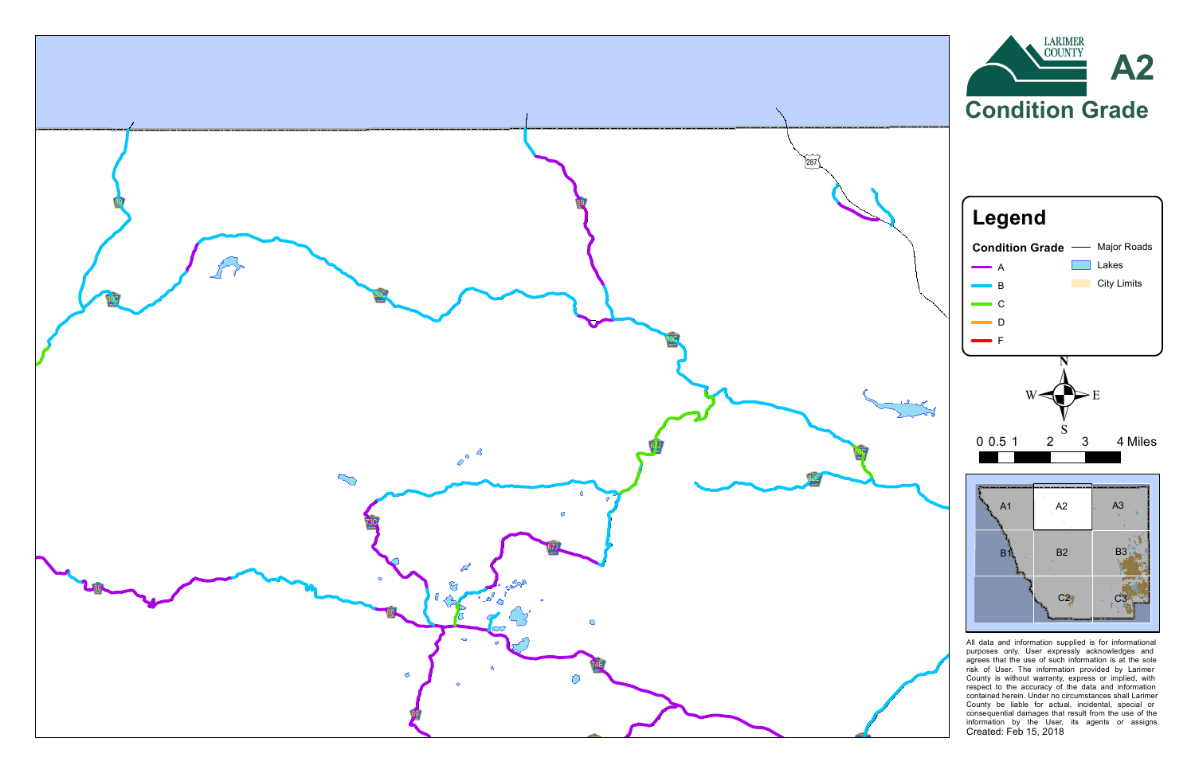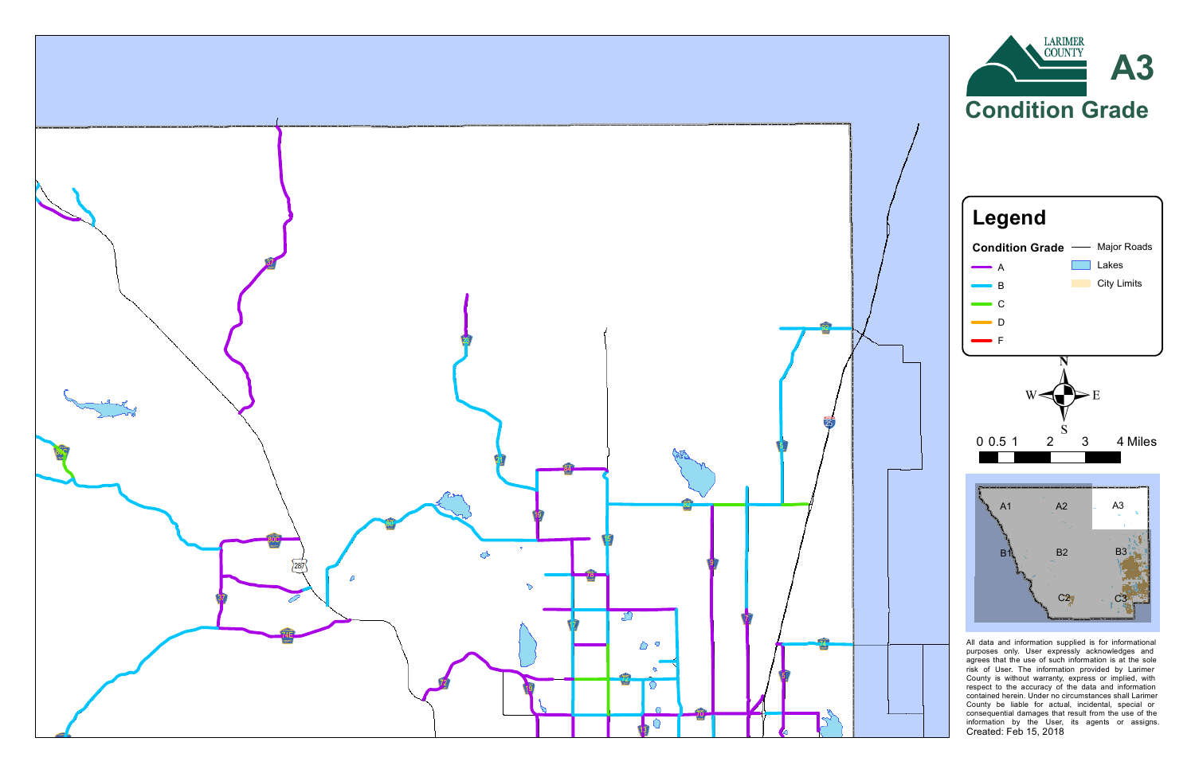

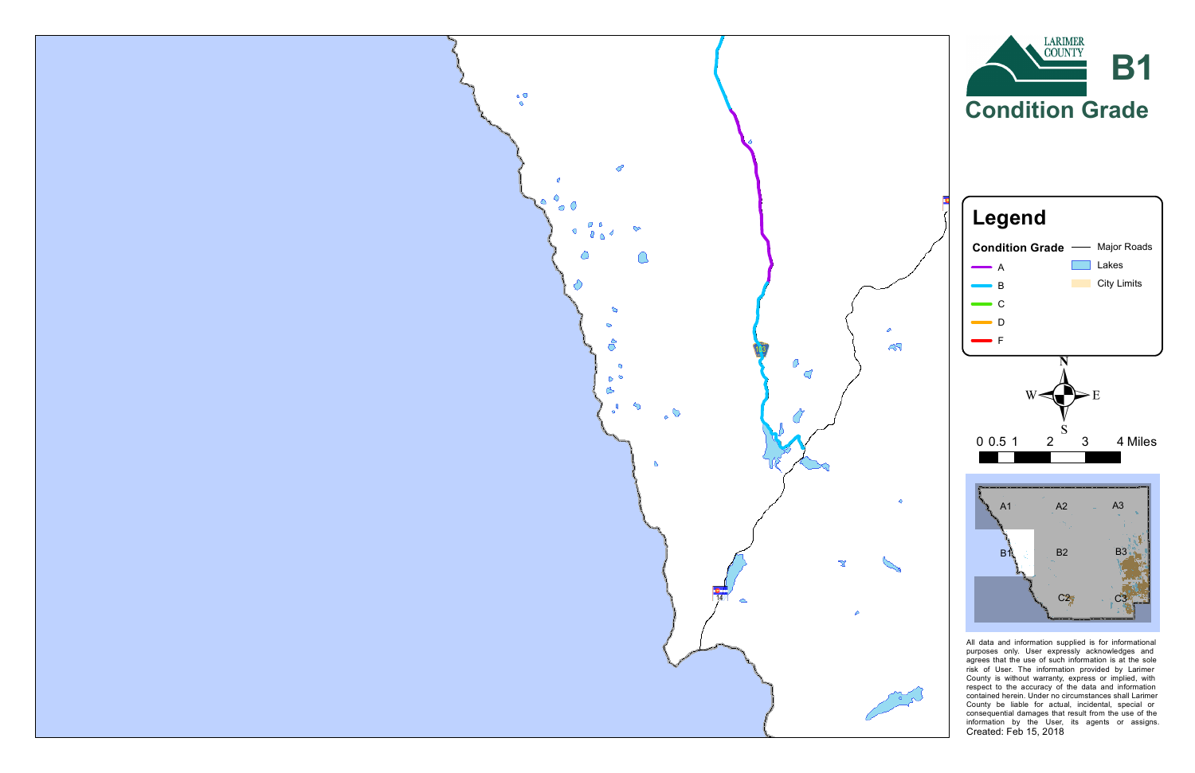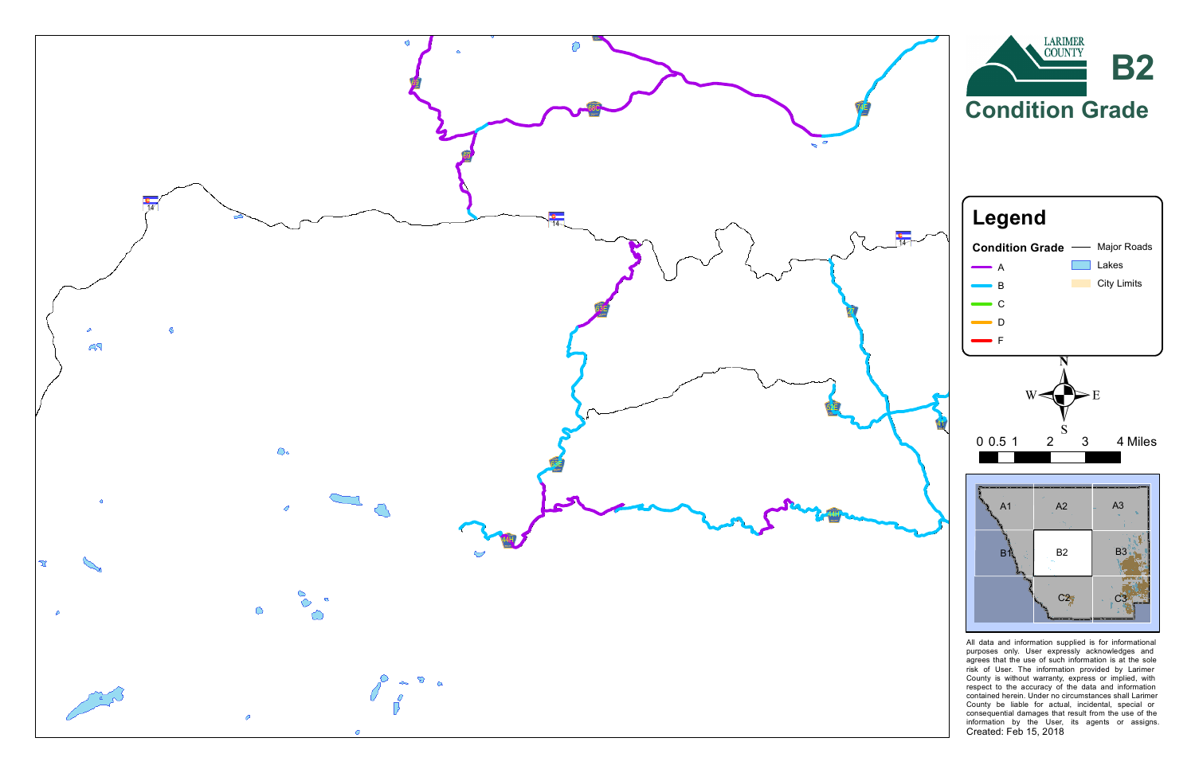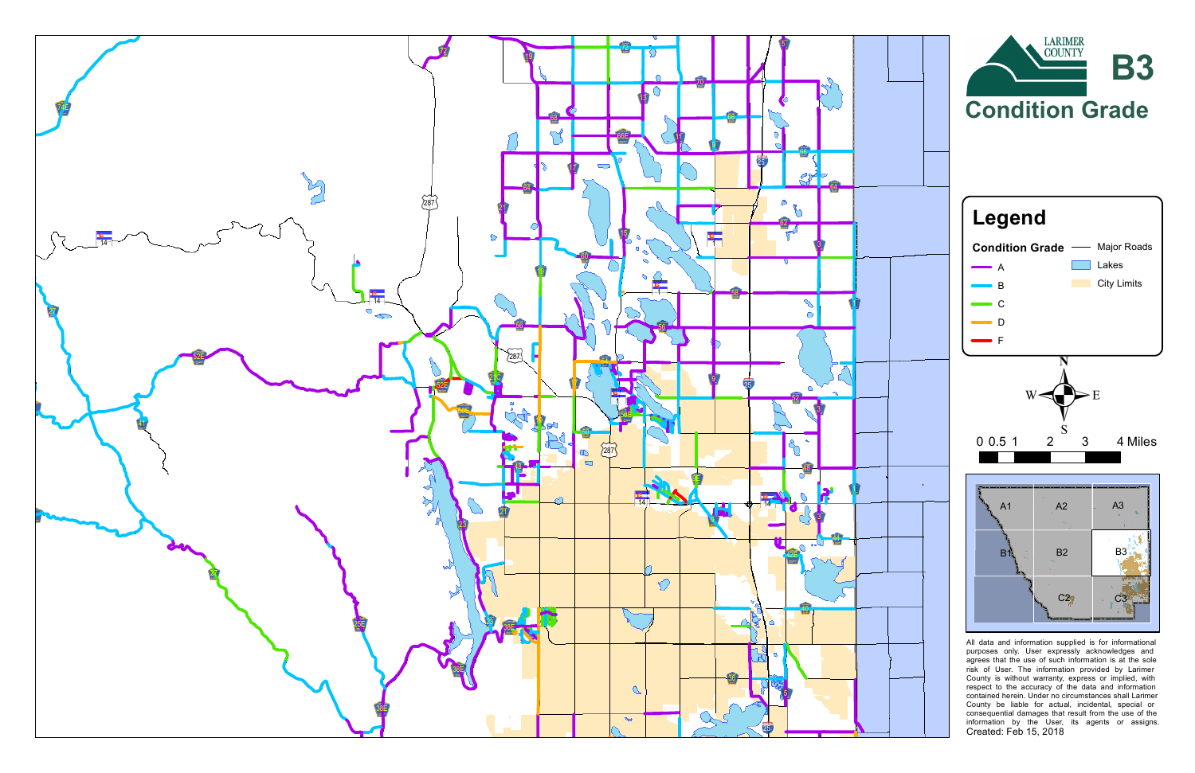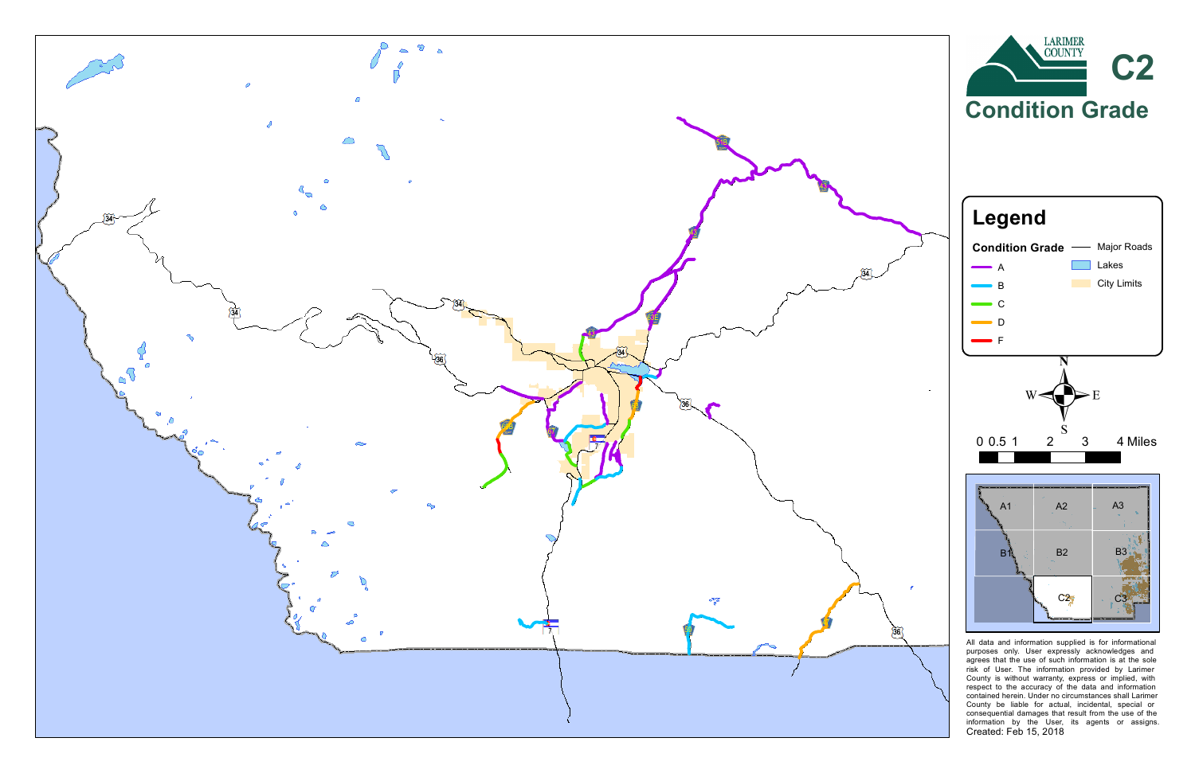